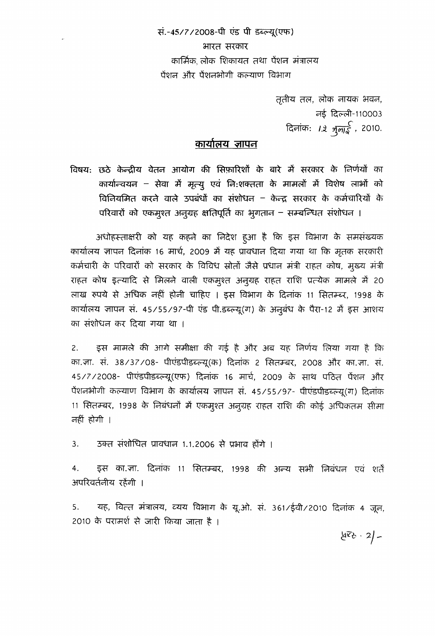सं.-45/7/2008-पी एंड पी डब्ल्यू(एफ) भारत सरकार कार्मिक लोक शिकायत तथा पेंशन मंत्रालय पेंशन और पेंशनभोगी कल्याण विभाग

> तृतीय तल, लोक नायक भवन, नई दिल्ली-110003 दिनांक: *12 भूलाई ,* 2010.

## कार्यालय जापन

विषय: छठे केन्द्रीय वेतन आयोग की सिफ़ारिशों के बारे में सरकार के निर्णयों का कार्यान्चयन - सेवा में मृत्यू एवं नि:शक्तता के मामलों में विशेष लाभों को विनियमित करने वाले उपबंधों का संशोधन – केन्द्र सरकार के कर्मचारियों के परिवारों को एकमुश्त अनुग्रह क्षतिपूर्ति का भूगतान – सम्बन्धित संशोधन ।

अधोहस्ताक्षरी को यह कहने का निदेश हुआ है कि इस विभाग के समसंख्यक कार्यालय ज्ञापन दिनांक 16 मार्च, 2009 में यह प्रावधान दिया गया था कि मृतक सरकारी कर्मचारी के परिवारों को सरकार के विविध स्रोतों जैसे प्रधान मंत्री राहत कोष, मुख्य मंत्री राहत कोष इत्यादि से मिलने वाली एकमुश्त अनुग्रह राहत राशि प्रत्येक मामले में 20 लाख रुपये से अधिक नहीं होनी चाहिए । इस विभाग के दिनांक 11 सितम्ब्र, 1998 के कार्यालय ज्ञापन सं. 45/55/97-पी एंड पी.डब्ल्यू(ग) के अनुबंध के पैरा-12 में इस आशय का संशोधन कर दिया गया था ।

2. . इस मामले की आगे समीक्षा की गई है और अब यह निर्णय लिया गया है कि का.ज़ा. सं. 38/37/08- पीएंडपीडब्ल्यू(क) दिनांक 2 सितम्बर, 2008 और का.ज़ा. सं. 45/7/2008- पीएंडपीडब्ल्यू(एफ) दिनांक 16 मार्च, 2009 के साथ पठित पेंशन और पेंशनभोगी कल्याण विभाग के कार्यालय ज्ञापन सं. 45/55/97- पीएंडपीडब्ल्यू(ग) दिनांक 11 सितम्बर, 1998 के निबंधनों में एकमुश्त अनुग्रह राहत राशि की कोई अधिकतम सीमा नहीं होगी ।

3. उक्त संशोधित प्रावधान 1.1.2006 से प्रभाव होंगे ।

4. हस का.जा. दिनांक 11 सितम्बर, 1998 की अन्य सभी निबंधन एवं शर्तें अपरिवर्तनीय रहेंगी ।

5. यह, वित्त मंत्रालय, व्यय विभाग के यू.ओ. सं. 361/ईवी/2010 दिनांक 4 जून, 2010 के परामर्श से जारी किया जाता है ।

 $456 - 2 -$